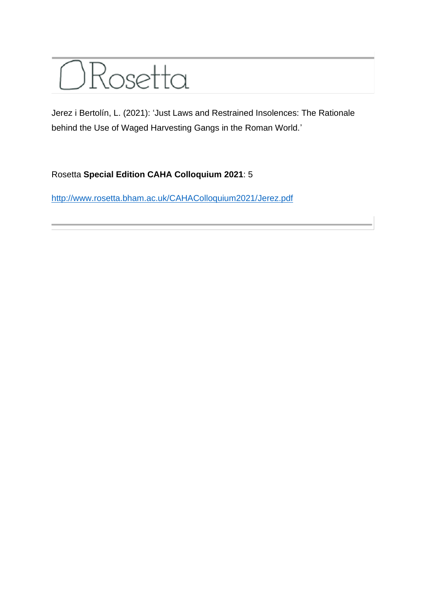

Jerez i Bertolín, L. (2021): 'Just Laws and Restrained Insolences: The Rationale behind the Use of Waged Harvesting Gangs in the Roman World.'

## Rosetta **Special Edition CAHA Colloquium 2021**: 5

<http://www.rosetta.bham.ac.uk/CAHAColloquium2021/Jerez.pdf>